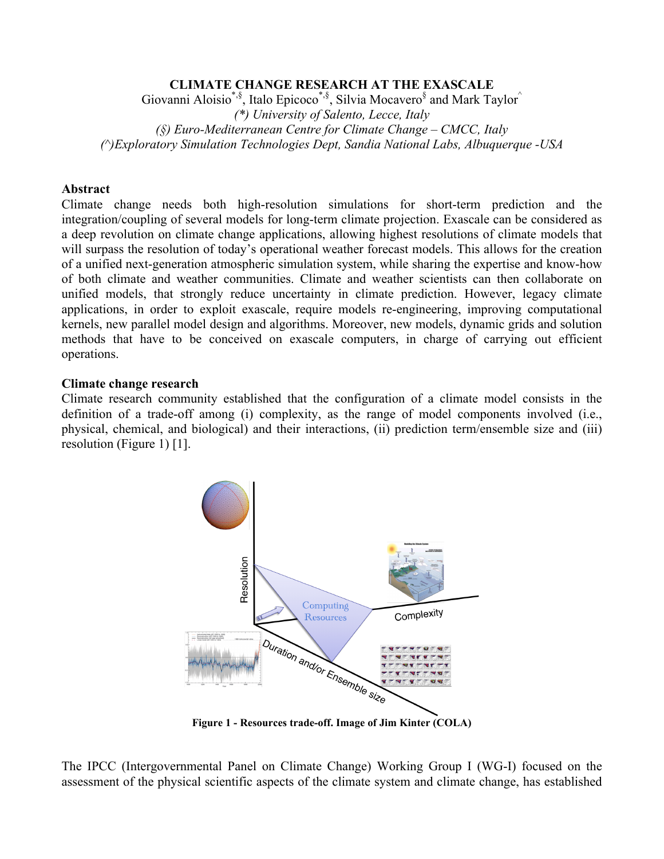## **CLIMATE CHANGE RESEARCH AT THE EXASCALE**

Giovanni Aloisio\*, $\hat{s}$ , Italo Epicoco\*, $\hat{s}$ , Silvia Mocavero $\hat{s}$  and Mark Taylor^ *(\*) University of Salento, Lecce, Italy (§) Euro-Mediterranean Centre for Climate Change – CMCC, Italy (^)Exploratory Simulation Technologies Dept, Sandia National Labs, Albuquerque -USA*

### **Abstract**

Climate change needs both high-resolution simulations for short-term prediction and the integration/coupling of several models for long-term climate projection. Exascale can be considered as a deep revolution on climate change applications, allowing highest resolutions of climate models that will surpass the resolution of today's operational weather forecast models. This allows for the creation of a unified next-generation atmospheric simulation system, while sharing the expertise and know-how of both climate and weather communities. Climate and weather scientists can then collaborate on unified models, that strongly reduce uncertainty in climate prediction. However, legacy climate applications, in order to exploit exascale, require models re-engineering, improving computational kernels, new parallel model design and algorithms. Moreover, new models, dynamic grids and solution methods that have to be conceived on exascale computers, in charge of carrying out efficient operations.

#### **Climate change research**

Climate research community established that the configuration of a climate model consists in the definition of a trade-off among (i) complexity, as the range of model components involved (i.e., physical, chemical, and biological) and their interactions, (ii) prediction term/ensemble size and (iii) resolution (Figure 1) [1].



**Figure 1 - Resources trade-off. Image of Jim Kinter (COLA)**

The IPCC (Intergovernmental Panel on Climate Change) Working Group I (WG-I) focused on the assessment of the physical scientific aspects of the climate system and climate change, has established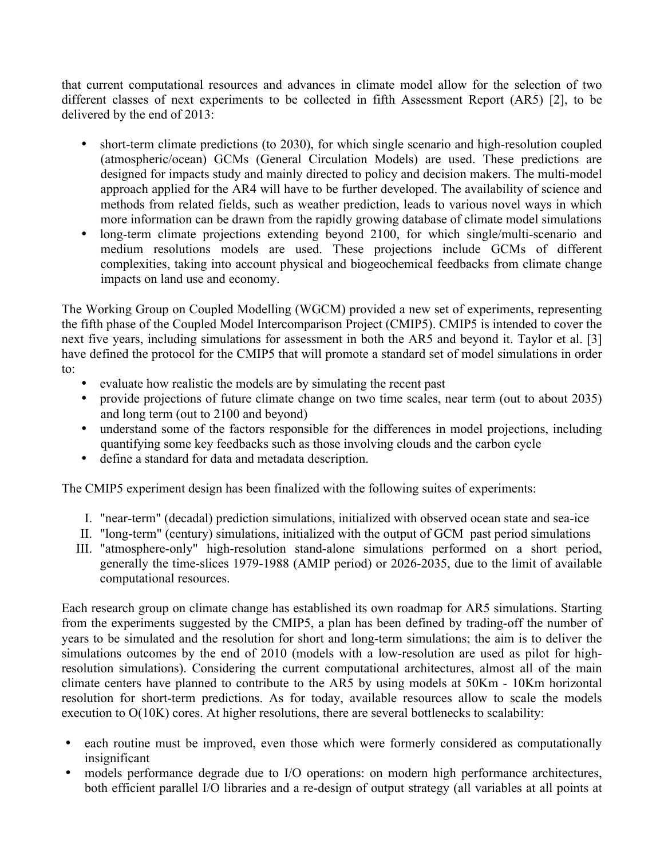that current computational resources and advances in climate model allow for the selection of two different classes of next experiments to be collected in fifth Assessment Report (AR5) [2], to be delivered by the end of 2013:

- short-term climate predictions (to 2030), for which single scenario and high-resolution coupled (atmospheric/ocean) GCMs (General Circulation Models) are used. These predictions are designed for impacts study and mainly directed to policy and decision makers. The multi-model approach applied for the AR4 will have to be further developed. The availability of science and methods from related fields, such as weather prediction, leads to various novel ways in which more information can be drawn from the rapidly growing database of climate model simulations
- long-term climate projections extending beyond 2100, for which single/multi-scenario and medium resolutions models are used. These projections include GCMs of different complexities, taking into account physical and biogeochemical feedbacks from climate change impacts on land use and economy.

The Working Group on Coupled Modelling (WGCM) provided a new set of experiments, representing the fifth phase of the Coupled Model Intercomparison Project (CMIP5). CMIP5 is intended to cover the next five years, including simulations for assessment in both the AR5 and beyond it. Taylor et al. [3] have defined the protocol for the CMIP5 that will promote a standard set of model simulations in order to:

- evaluate how realistic the models are by simulating the recent past
- provide projections of future climate change on two time scales, near term (out to about 2035) and long term (out to 2100 and beyond)
- understand some of the factors responsible for the differences in model projections, including quantifying some key feedbacks such as those involving clouds and the carbon cycle
- define a standard for data and metadata description.

The CMIP5 experiment design has been finalized with the following suites of experiments:

- I. "near-term" (decadal) prediction simulations, initialized with observed ocean state and sea-ice
- II. "long-term" (century) simulations, initialized with the output of GCM past period simulations
- III. "atmosphere-only" high-resolution stand-alone simulations performed on a short period, generally the time-slices 1979-1988 (AMIP period) or 2026-2035, due to the limit of available computational resources.

Each research group on climate change has established its own roadmap for AR5 simulations. Starting from the experiments suggested by the CMIP5, a plan has been defined by trading-off the number of years to be simulated and the resolution for short and long-term simulations; the aim is to deliver the simulations outcomes by the end of 2010 (models with a low-resolution are used as pilot for highresolution simulations). Considering the current computational architectures, almost all of the main climate centers have planned to contribute to the AR5 by using models at 50Km - 10Km horizontal resolution for short-term predictions. As for today, available resources allow to scale the models execution to O(10K) cores. At higher resolutions, there are several bottlenecks to scalability:

- each routine must be improved, even those which were formerly considered as computationally insignificant
- models performance degrade due to I/O operations: on modern high performance architectures, both efficient parallel I/O libraries and a re-design of output strategy (all variables at all points at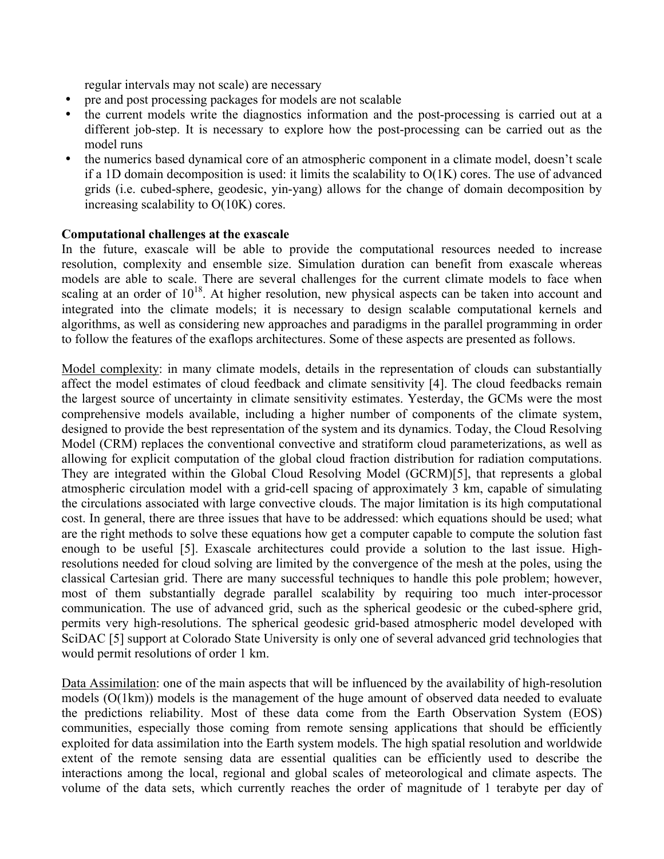regular intervals may not scale) are necessary

- pre and post processing packages for models are not scalable
- the current models write the diagnostics information and the post-processing is carried out at a different job-step. It is necessary to explore how the post-processing can be carried out as the model runs
- the numerics based dynamical core of an atmospheric component in a climate model, doesn't scale if a 1D domain decomposition is used: it limits the scalability to  $O(1K)$  cores. The use of advanced grids (i.e. cubed-sphere, geodesic, yin-yang) allows for the change of domain decomposition by increasing scalability to O(10K) cores.

## **Computational challenges at the exascale**

In the future, exascale will be able to provide the computational resources needed to increase resolution, complexity and ensemble size. Simulation duration can benefit from exascale whereas models are able to scale. There are several challenges for the current climate models to face when scaling at an order of  $10^{18}$ . At higher resolution, new physical aspects can be taken into account and integrated into the climate models; it is necessary to design scalable computational kernels and algorithms, as well as considering new approaches and paradigms in the parallel programming in order to follow the features of the exaflops architectures. Some of these aspects are presented as follows.

Model complexity: in many climate models, details in the representation of clouds can substantially affect the model estimates of cloud feedback and climate sensitivity [4]. The cloud feedbacks remain the largest source of uncertainty in climate sensitivity estimates. Yesterday, the GCMs were the most comprehensive models available, including a higher number of components of the climate system, designed to provide the best representation of the system and its dynamics. Today, the Cloud Resolving Model (CRM) replaces the conventional convective and stratiform cloud parameterizations, as well as allowing for explicit computation of the global cloud fraction distribution for radiation computations. They are integrated within the Global Cloud Resolving Model (GCRM)[5], that represents a global atmospheric circulation model with a grid-cell spacing of approximately 3 km, capable of simulating the circulations associated with large convective clouds. The major limitation is its high computational cost. In general, there are three issues that have to be addressed: which equations should be used; what are the right methods to solve these equations how get a computer capable to compute the solution fast enough to be useful [5]. Exascale architectures could provide a solution to the last issue. Highresolutions needed for cloud solving are limited by the convergence of the mesh at the poles, using the classical Cartesian grid. There are many successful techniques to handle this pole problem; however, most of them substantially degrade parallel scalability by requiring too much inter-processor communication. The use of advanced grid, such as the spherical geodesic or the cubed-sphere grid, permits very high-resolutions. The spherical geodesic grid-based atmospheric model developed with SciDAC [5] support at Colorado State University is only one of several advanced grid technologies that would permit resolutions of order 1 km.

Data Assimilation: one of the main aspects that will be influenced by the availability of high-resolution models (O(1km)) models is the management of the huge amount of observed data needed to evaluate the predictions reliability. Most of these data come from the Earth Observation System (EOS) communities, especially those coming from remote sensing applications that should be efficiently exploited for data assimilation into the Earth system models. The high spatial resolution and worldwide extent of the remote sensing data are essential qualities can be efficiently used to describe the interactions among the local, regional and global scales of meteorological and climate aspects. The volume of the data sets, which currently reaches the order of magnitude of 1 terabyte per day of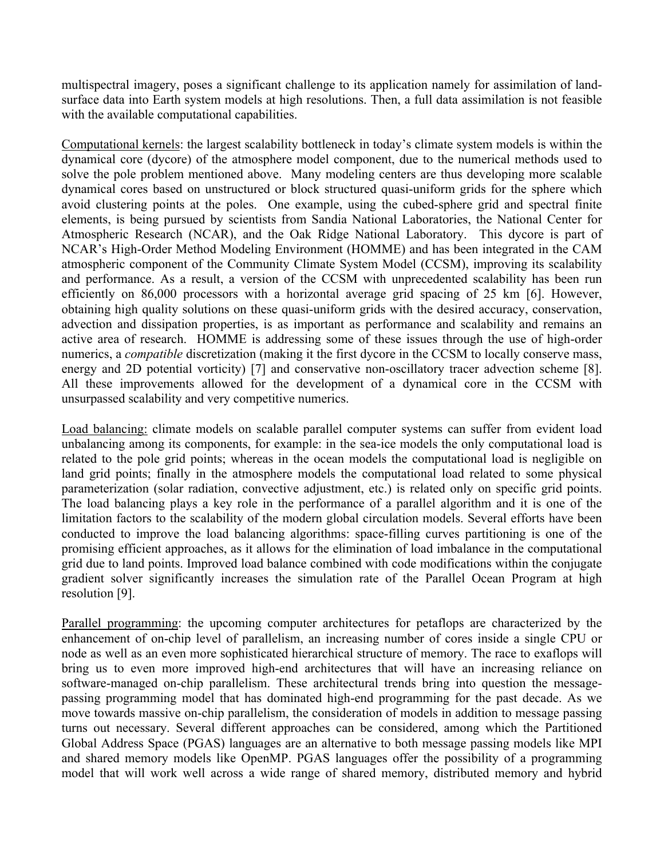multispectral imagery, poses a significant challenge to its application namely for assimilation of landsurface data into Earth system models at high resolutions. Then, a full data assimilation is not feasible with the available computational capabilities.

Computational kernels: the largest scalability bottleneck in today's climate system models is within the dynamical core (dycore) of the atmosphere model component, due to the numerical methods used to solve the pole problem mentioned above. Many modeling centers are thus developing more scalable dynamical cores based on unstructured or block structured quasi-uniform grids for the sphere which avoid clustering points at the poles. One example, using the cubed-sphere grid and spectral finite elements, is being pursued by scientists from Sandia National Laboratories, the National Center for Atmospheric Research (NCAR), and the Oak Ridge National Laboratory. This dycore is part of NCAR's High-Order Method Modeling Environment (HOMME) and has been integrated in the CAM atmospheric component of the Community Climate System Model (CCSM), improving its scalability and performance. As a result, a version of the CCSM with unprecedented scalability has been run efficiently on 86,000 processors with a horizontal average grid spacing of 25 km [6]. However, obtaining high quality solutions on these quasi-uniform grids with the desired accuracy, conservation, advection and dissipation properties, is as important as performance and scalability and remains an active area of research. HOMME is addressing some of these issues through the use of high-order numerics, a *compatible* discretization (making it the first dycore in the CCSM to locally conserve mass, energy and 2D potential vorticity) [7] and conservative non-oscillatory tracer advection scheme [8]. All these improvements allowed for the development of a dynamical core in the CCSM with unsurpassed scalability and very competitive numerics.

Load balancing: climate models on scalable parallel computer systems can suffer from evident load unbalancing among its components, for example: in the sea-ice models the only computational load is related to the pole grid points; whereas in the ocean models the computational load is negligible on land grid points; finally in the atmosphere models the computational load related to some physical parameterization (solar radiation, convective adjustment, etc.) is related only on specific grid points. The load balancing plays a key role in the performance of a parallel algorithm and it is one of the limitation factors to the scalability of the modern global circulation models. Several efforts have been conducted to improve the load balancing algorithms: space-filling curves partitioning is one of the promising efficient approaches, as it allows for the elimination of load imbalance in the computational grid due to land points. Improved load balance combined with code modifications within the conjugate gradient solver significantly increases the simulation rate of the Parallel Ocean Program at high resolution [9].

Parallel programming: the upcoming computer architectures for petaflops are characterized by the enhancement of on-chip level of parallelism, an increasing number of cores inside a single CPU or node as well as an even more sophisticated hierarchical structure of memory. The race to exaflops will bring us to even more improved high-end architectures that will have an increasing reliance on software-managed on-chip parallelism. These architectural trends bring into question the messagepassing programming model that has dominated high-end programming for the past decade. As we move towards massive on-chip parallelism, the consideration of models in addition to message passing turns out necessary. Several different approaches can be considered, among which the Partitioned Global Address Space (PGAS) languages are an alternative to both message passing models like MPI and shared memory models like OpenMP. PGAS languages offer the possibility of a programming model that will work well across a wide range of shared memory, distributed memory and hybrid